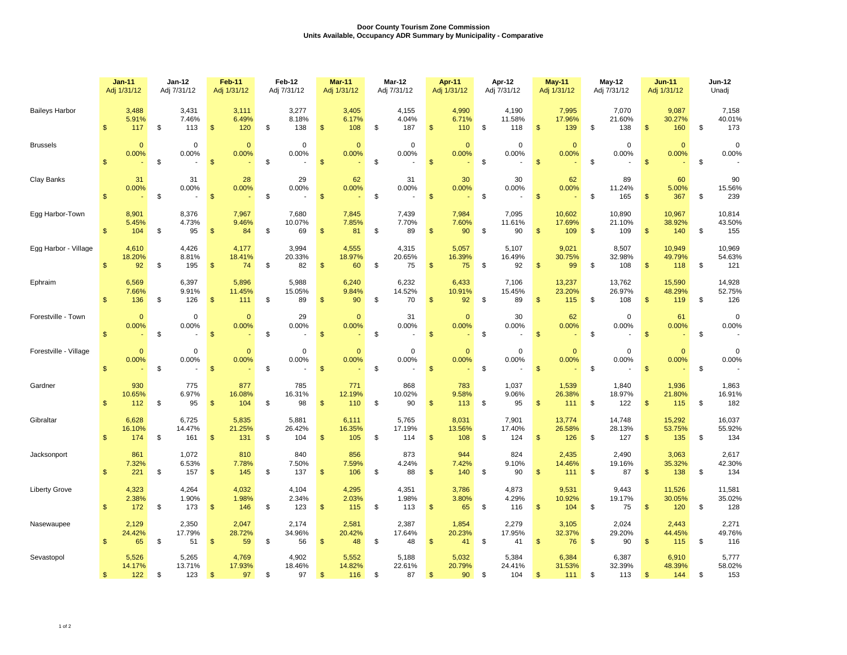## **Door County Tourism Zone Commission Units Available, Occupancy ADR Summary by Municipality - Comparative**

|                       |                | <b>Jan-11</b><br>Adj 1/31/12 |    | Jan-12<br>Adj 7/31/12          |                | Feb-11<br>Adj 1/31/12  | Feb-12<br>Adj 7/31/12 |                        | <b>Mar-11</b><br>Adj 1/31/12 |                        | Mar-12<br>Adj 7/31/12 |                        | Apr-11<br>Adj 1/31/12 |                        | Apr-12<br>Adj 7/31/12 |                        |                | <b>May-11</b><br>Adj 1/31/12 |               | <b>May-12</b><br>Adj 7/31/12 |                | <b>Jun-11</b><br>Adj 1/31/12 |    | <b>Jun-12</b><br>Unadj  |  |
|-----------------------|----------------|------------------------------|----|--------------------------------|----------------|------------------------|-----------------------|------------------------|------------------------------|------------------------|-----------------------|------------------------|-----------------------|------------------------|-----------------------|------------------------|----------------|------------------------------|---------------|------------------------------|----------------|------------------------------|----|-------------------------|--|
| <b>Baileys Harbor</b> | \$             | 3,488<br>5.91%<br>117        | \$ | 3,431<br>7.46%<br>113          | $\mathfrak{s}$ | 3,111<br>6.49%<br>120  | \$                    | 3,277<br>8.18%<br>138  | $\mathbf{\$}$                | 3,405<br>6.17%<br>108  | \$                    | 4,155<br>4.04%<br>187  | $\mathbb{S}$          | 4,990<br>6.71%<br>110  | \$                    | 4,190<br>11.58%<br>118 | $\mathbf{\$}$  | 7,995<br>17.96%<br>139       | \$            | 7,070<br>21.60%<br>138       | $\mathfrak{s}$ | 9,087<br>30.27%<br>160       | \$ | 7,158<br>40.01%<br>173  |  |
| <b>Brussels</b>       | \$             | $\Omega$<br>0.00%            | \$ | $\mathbf 0$<br>0.00%<br>$\sim$ | $\mathfrak{s}$ | $\mathbf{0}$<br>0.00%  | \$                    | $\Omega$<br>0.00%      | $\mathbf{\$}$                | $\mathbf{0}$<br>0.00%  | \$                    | $\mathbf 0$<br>0.00%   | \$                    | $\mathbf{0}$<br>0.00%  | \$                    | $\mathbf 0$<br>0.00%   | $\mathbf{\$}$  | $\Omega$<br>0.00%            | \$            | $\Omega$<br>0.00%            | $\mathbf{\$}$  | $\mathbf{0}$<br>0.00%        | \$ | $\mathbf 0$<br>0.00%    |  |
| Clay Banks            | $\mathbf{s}$   | 31<br>0.00%                  | \$ | 31<br>0.00%                    | $\sqrt[6]{3}$  | 28<br>0.00%            | \$                    | 29<br>0.00%            | $\sqrt{2}$                   | 62<br>0.00%            | \$                    | 31<br>0.00%            | $\mathsf{\$}$         | 30<br>0.00%            | \$                    | 30<br>0.00%            | \$             | 62<br>0.00%                  | \$            | 89<br>11.24%<br>165          | $\mathsf{\$}$  | 60<br>5.00%<br>367           | \$ | 90<br>15.56%<br>239     |  |
| Egg Harbor-Town       | $\mathbb{S}$   | 8,901<br>5.45%<br>104        | \$ | 8,376<br>4.73%<br>95           | $\mathsf{\$}$  | 7,967<br>9.46%<br>84   | \$                    | 7,680<br>10.07%<br>69  | $\mathbf{\$}$                | 7,845<br>7.85%<br>81   | \$                    | 7,439<br>7.70%<br>89   | $\mathbf{s}$          | 7,984<br>7.60%<br>90   | \$                    | 7,095<br>11.61%<br>90  | $\mathfrak{s}$ | 10,602<br>17.69%<br>109      | \$            | 10,890<br>21.10%<br>109      | \$             | 10,967<br>38.92%<br>140      | \$ | 10,814<br>43.50%<br>155 |  |
| Egg Harbor - Village  | \$             | 4,610<br>18.20%<br>92        | \$ | 4,426<br>8.81%<br>195          | $\sqrt[6]{3}$  | 4,177<br>18.41%<br>74  | \$                    | 3,994<br>20.33%<br>82  | $\sqrt{2}$                   | 4,555<br>18.97%<br>60  | \$                    | 4,315<br>20.65%<br>75  | $\frac{1}{2}$         | 5,057<br>16.39%<br>75  | \$                    | 5,107<br>16.49%<br>92  | $\sqrt[6]{3}$  | 9,021<br>30.75%<br>99        | \$            | 8,507<br>32.98%<br>108       | \$             | 10,949<br>49.79%<br>118      | \$ | 10,969<br>54.63%<br>121 |  |
| Ephraim               | $\mathbb{S}$   | 6,569<br>7.66%<br>136        | \$ | 6,397<br>9.91%<br>126          | $\mathfrak{s}$ | 5,896<br>11.45%<br>111 | \$                    | 5,988<br>15.05%<br>89  | $\mathbf{\$}$                | 6,240<br>9.84%<br>90   | \$                    | 6,232<br>14.52%<br>70  | $\mathfrak{s}$        | 6,433<br>10.91%<br>92  | \$                    | 7,106<br>15.45%<br>89  | $\mathfrak{s}$ | 13,237<br>23.20%<br>115      | \$            | 13,762<br>26.97%<br>108      | $\mathfrak{S}$ | 15,590<br>48.29%<br>119      | \$ | 14,928<br>52.75%<br>126 |  |
| Forestville - Town    | $\mathsf{\$}$  | $\mathbf{0}$<br>0.00%        | \$ | $\mathbf 0$<br>0.00%           | $\mathfrak{S}$ | $\mathbf{0}$<br>0.00%  | \$                    | 29<br>0.00%            | $\mathbf{\$}$                | $\Omega$<br>0.00%      | \$                    | 31<br>0.00%            | $\mathsf{\$}$         | $\Omega$<br>0.00%      | \$                    | 30<br>0.00%            | $\mathfrak{s}$ | 62<br>0.00%                  | $\mathfrak s$ | $\Omega$<br>0.00%            | $\mathbb{S}$   | 61<br>0.00%                  | \$ | $\mathbf 0$<br>0.00%    |  |
| Forestville - Village | \$             | $\mathbf{0}$<br>0.00%        | \$ | $\mathbf 0$<br>0.00%           | $\mathsf{\$}$  | $\mathbf 0$<br>0.00%   | \$                    | $\mathbf 0$<br>0.00%   | $\mathbf{\$}$                | $\mathbf{0}$<br>0.00%  | \$                    | $\mathbf 0$<br>0.00%   | $\mathfrak{s}$        | $\mathbf{0}$<br>0.00%  | \$                    | $\mathbf 0$<br>0.00%   | \$             | $\mathbf{0}$<br>0.00%        | \$            | $\mathbf 0$<br>0.00%         | $\mathsf{\$}$  | $\mathbf{0}$<br>0.00%        | \$ | $\mathbf 0$<br>0.00%    |  |
| Gardner               | $\mathbb{S}$   | 930<br>10.65%<br>112         | \$ | 775<br>6.97%<br>95             | $\mathfrak{s}$ | 877<br>16.08%<br>104   | \$                    | 785<br>16.31%<br>98    | $\mathbf{\$}$                | 771<br>12.19%<br>110   | \$                    | 868<br>10.02%<br>90    | $\mathfrak{s}$        | 783<br>9.58%<br>113    | \$                    | 1,037<br>9.06%<br>95   | $\mathfrak{s}$ | 1,539<br>26.38%<br>111       | \$            | 1,840<br>18.97%<br>122       | \$             | 1,936<br>21.80%<br>115       | \$ | 1,863<br>16.91%<br>182  |  |
| Gibraltar             | \$             | 6,628<br>16.10%<br>174       | \$ | 6,725<br>14.47%<br>161         | $\mathbf{s}$   | 5,835<br>21.25%<br>131 | \$                    | 5,881<br>26.42%<br>104 | $\mathcal{S}$                | 6,111<br>16.35%<br>105 | \$                    | 5,765<br>17.19%<br>114 | \$                    | 8,031<br>13.56%<br>108 | \$                    | 7,901<br>17.40%<br>124 | \$             | 13,774<br>26.58%<br>126      | \$            | 14,748<br>28.13%<br>127      | $\mathsf{\$}$  | 15,292<br>53.75%<br>135      | \$ | 16,037<br>55.92%<br>134 |  |
| Jacksonport           | \$             | 861<br>7.32%<br>221          | \$ | 1,072<br>6.53%<br>157          | $\sqrt[6]{3}$  | 810<br>7.78%<br>145    | \$                    | 840<br>7.50%<br>137    | $\mathfrak{S}$               | 856<br>7.59%<br>106    | \$                    | 873<br>4.24%<br>88     | $\mathfrak{s}$        | 944<br>7.42%<br>140    | \$                    | 824<br>9.10%<br>90     | $\mathfrak{S}$ | 2,435<br>14.46%<br>111       | \$            | 2,490<br>19.16%<br>87        | $\mathsf{\$}$  | 3,063<br>35.32%<br>138       | \$ | 2,617<br>42.30%<br>134  |  |
| <b>Liberty Grove</b>  | \$             | 4,323<br>2.38%<br>172        | \$ | 4,264<br>1.90%<br>173          | $\mathfrak{s}$ | 4,032<br>1.98%<br>146  | \$                    | 4,104<br>2.34%<br>123  | $\mathfrak{s}$               | 4,295<br>2.03%<br>115  | \$                    | 4,351<br>1.98%<br>113  | $\mathfrak{s}$        | 3,786<br>3.80%<br>65   | \$                    | 4,873<br>4.29%<br>116  | \$             | 9,531<br>10.92%<br>104       | \$            | 9.443<br>19.17%<br>75        | $\mathfrak{s}$ | 11,526<br>30.05%<br>120      | \$ | 11,581<br>35.02%<br>128 |  |
| Nasewaupee            | \$             | 2,129<br>24.42%<br>65        | \$ | 2,350<br>17.79%<br>51          | $\mathfrak{S}$ | 2,047<br>28.72%<br>59  | \$                    | 2,174<br>34.96%<br>56  | $\mathfrak{S}$               | 2,581<br>20.42%<br>48  | \$                    | 2,387<br>17.64%<br>48  | \$                    | 1,854<br>20.23%<br>41  | \$                    | 2,279<br>17.95%<br>41  | $\mathfrak{s}$ | 3,105<br>32.37%<br>76        | \$            | 2,024<br>29.20%<br>90        | $\mathsf{\$}$  | 2,443<br>44.45%<br>115       | \$ | 2,271<br>49.76%<br>116  |  |
| Sevastopol            | $\mathfrak{s}$ | 5,526<br>14.17%<br>122       | \$ | 5,265<br>13.71%<br>123         | \$             | 4,769<br>17.93%<br>97  | \$                    | 4,902<br>18.46%<br>97  | \$.                          | 5,552<br>14.82%<br>116 | \$                    | 5,188<br>22.61%<br>87  | $\mathfrak{s}$        | 5,032<br>20.79%<br>90  | \$                    | 5,384<br>24.41%<br>104 | \$             | 6,384<br>31.53%<br>111       | \$            | 6,387<br>32.39%<br>113       | \$             | 6,910<br>48.39%<br>144       | \$ | 5,777<br>58.02%<br>153  |  |